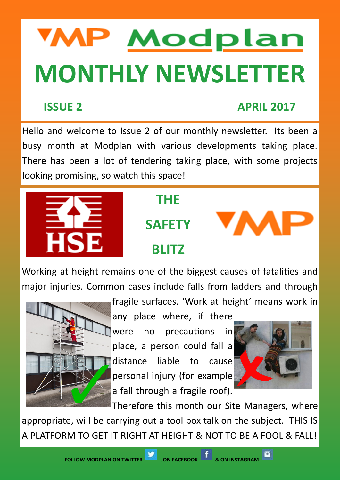# **WP Modplan MONTHLY NEWSLETTER**

### **ISSUE 2 APRIL 2017**

Hello and welcome to Issue 2 of our monthly newsletter. Its been a busy month at Modplan with various developments taking place. There has been a lot of tendering taking place, with some projects looking promising, so watch this space!



# **THE**

**SAFETY**



# **BLITZ**

Working at height remains one of the biggest causes of fatalities and major injuries. Common cases include falls from ladders and through



fragile surfaces. 'Work at height' means work in

any place where, if there were no precautions in place, a person could fall a distance liable to cause personal injury (for example a fall through a fragile roof).



Therefore this month our Site Managers, where appropriate, will be carrying out a tool box talk on the subject. THIS IS A PLATFORM TO GET IT RIGHT AT HEIGHT & NOT TO BE A FOOL & FALL!